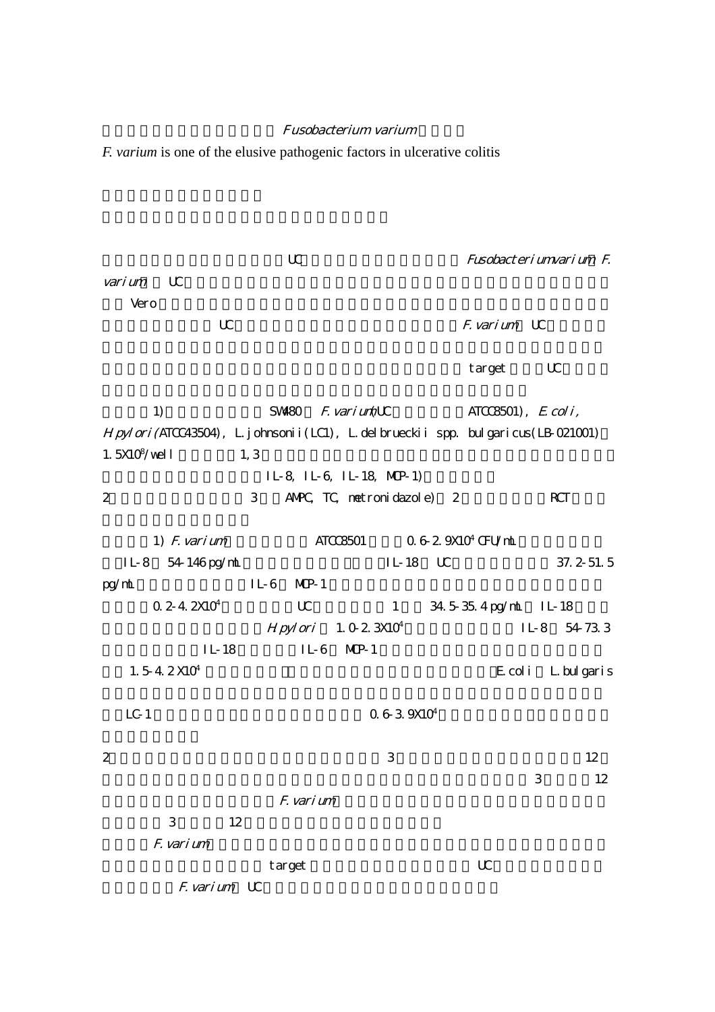## Fusobacterium varium

*F. varium* is one of the elusive pathogenic factors in ulcerative colitis

UC Fusobacterium varium F. varium UC  $\blacksquare$ Vero and the version of the version of the version of the version of the version of the version of the version of the version of the version of the version of the version of the version of the version of the version of the  $\mathbb{U}$  Exarium  $\mathbb{U}$  $\tan \mathbf{C}$  target UC  $\tan \mathbf{C}$ 1)  $SW480$   $F. varium(UC)$  ATCC8501),  $E. coli,$ Hpylori(ATCC43504), L.johnsonii(LC1), L.delbrueckii spp. bulgaricus(LB-021001) 1.  $5X10^8/\text{well}$  $\frac{1}{\sqrt{2}}$  (well  $\frac{1}{\sqrt{2}}$ ) IL-8, IL-6, IL-18, MCP-1) 2 3 AMPC, TC, metronidazole) 2 RCT 1)  $F.$  varium  $ATCC8501$   $0.6-2.9X10<sup>4</sup>$  CFU/mL IL-8 54-146 pg/mL IL-18 UC 37.2-51.5  $pp/mL$  IL-6 MP-1  $0.2-4.2X10<sup>4</sup>$  UC  $1.34.5-35.4$  pg/mL IL-18  $Hpylori$  1.0-2.3X10<sup>4</sup> IL-8 54-73.3  $IL-18$   $IL-6$   $MP-1$  $1.5-4.2 X10<sup>4</sup>$ E.coli L.bulgaris  $LC-1$   $0.6-3.9X10^4$ 2  $\frac{12}{3}$  $3 \t3 \t12$ F. varium  $3$  12 F. varium target Letter under target target under the target under the target under the target under the target under the target under the target under the target under the target under the target under the target under the target u F. varium UC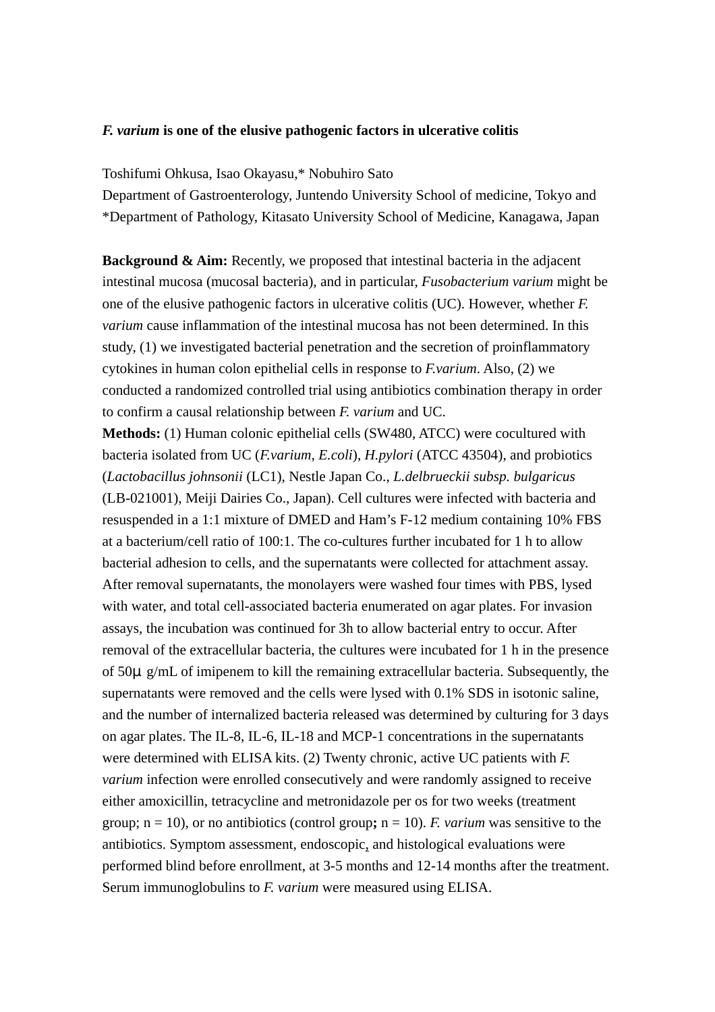## *F. varium* **is one of the elusive pathogenic factors in ulcerative colitis**

Toshifumi Ohkusa, Isao Okayasu,\* Nobuhiro Sato

Department of Gastroenterology, Juntendo University School of medicine, Tokyo and \*Department of Pathology, Kitasato University School of Medicine, Kanagawa, Japan

**Background & Aim:** Recently, we proposed that intestinal bacteria in the adjacent intestinal mucosa (mucosal bacteria), and in particular, *Fusobacterium varium* might be one of the elusive pathogenic factors in ulcerative colitis (UC). However, whether *F. varium* cause inflammation of the intestinal mucosa has not been determined. In this study, (1) we investigated bacterial penetration and the secretion of proinflammatory cytokines in human colon epithelial cells in response to *F.varium*. Also, (2) we conducted a randomized controlled trial using antibiotics combination therapy in order to confirm a causal relationship between *F. varium* and UC.

**Methods:** (1) Human colonic epithelial cells (SW480, ATCC) were cocultured with bacteria isolated from UC (*F.varium, E.coli*), *H.pylori* (ATCC 43504), and probiotics (*Lactobacillus johnsonii* (LC1), Nestle Japan Co., *L.delbrueckii subsp. bulgaricus* (LB-021001), Meiji Dairies Co., Japan). Cell cultures were infected with bacteria and resuspended in a 1:1 mixture of DMED and Ham's F-12 medium containing 10% FBS at a bacterium/cell ratio of 100:1. The co-cultures further incubated for 1 h to allow bacterial adhesion to cells, and the supernatants were collected for attachment assay. After removal supernatants, the monolayers were washed four times with PBS, lysed with water, and total cell-associated bacteria enumerated on agar plates. For invasion assays, the incubation was continued for 3h to allow bacterial entry to occur. After removal of the extracellular bacteria, the cultures were incubated for 1 h in the presence of  $50\mu$  g/mL of imipenem to kill the remaining extracellular bacteria. Subsequently, the supernatants were removed and the cells were lysed with 0.1% SDS in isotonic saline, and the number of internalized bacteria released was determined by culturing for 3 days on agar plates. The IL-8, IL-6, IL-18 and MCP-1 concentrations in the supernatants were determined with ELISA kits. (2) Twenty chronic, active UC patients with *F. varium* infection were enrolled consecutively and were randomly assigned to receive either amoxicillin, tetracycline and metronidazole per os for two weeks (treatment group;  $n = 10$ ), or no antibiotics (control group;  $n = 10$ ). *F. varium* was sensitive to the antibiotics. Symptom assessment, endoscopic, and histological evaluations were performed blind before enrollment, at 3-5 months and 12-14 months after the treatment. Serum immunoglobulins to *F. varium* were measured using ELISA.